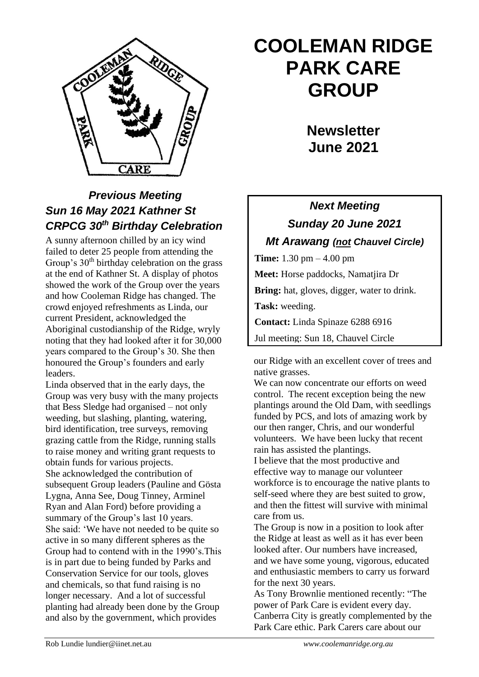

## *Previous Meeting Sun 16 May 2021 Kathner St CRPCG 30th Birthday Celebration*

A sunny afternoon chilled by an icy wind failed to deter 25 people from attending the Group's 30<sup>th</sup> birthday celebration on the grass at the end of Kathner St. A display of photos showed the work of the Group over the years and how Cooleman Ridge has changed. The crowd enjoyed refreshments as Linda, our current President, acknowledged the Aboriginal custodianship of the Ridge, wryly noting that they had looked after it for 30,000 years compared to the Group's 30. She then honoured the Group's founders and early leaders.

Linda observed that in the early days, the Group was very busy with the many projects that Bess Sledge had organised – not only weeding, but slashing, planting, watering, bird identification, tree surveys, removing grazing cattle from the Ridge, running stalls to raise money and writing grant requests to obtain funds for various projects. She acknowledged the contribution of subsequent Group leaders (Pauline and Gösta Lygna, Anna See, Doug Tinney, Arminel Ryan and Alan Ford) before providing a summary of the Group's last 10 years. She said: 'We have not needed to be quite so active in so many different spheres as the Group had to contend with in the 1990's.This is in part due to being funded by Parks and Conservation Service for our tools, gloves and chemicals, so that fund raising is no longer necessary. And a lot of successful planting had already been done by the Group and also by the government, which provides

# **COOLEMAN RIDGE PARK CARE GROUP**

**Newsletter June 2021** 

## *Next Meeting Sunday 20 June 2021 Mt Arawang (not Chauvel Circle)*

**Time:** 1.30 pm – 4.00 pm **Meet:** Horse paddocks, Namatjira Dr **Bring:** hat, gloves, digger, water to drink. **Task:** weeding. **Contact:** Linda Spinaze 6288 6916 Jul meeting: Sun 18, Chauvel Circle

our Ridge with an excellent cover of trees and native grasses.

We can now concentrate our efforts on weed control. The recent exception being the new plantings around the Old Dam, with seedlings funded by PCS, and lots of amazing work by our then ranger, Chris, and our wonderful volunteers. We have been lucky that recent rain has assisted the plantings.

I believe that the most productive and effective way to manage our volunteer workforce is to encourage the native plants to self-seed where they are best suited to grow, and then the fittest will survive with minimal care from us.

The Group is now in a position to look after the Ridge at least as well as it has ever been looked after. Our numbers have increased, and we have some young, vigorous, educated and enthusiastic members to carry us forward for the next 30 years.

As Tony Brownlie mentioned recently: "The power of Park Care is evident every day. Canberra City is greatly complemented by the Park Care ethic. Park Carers care about our